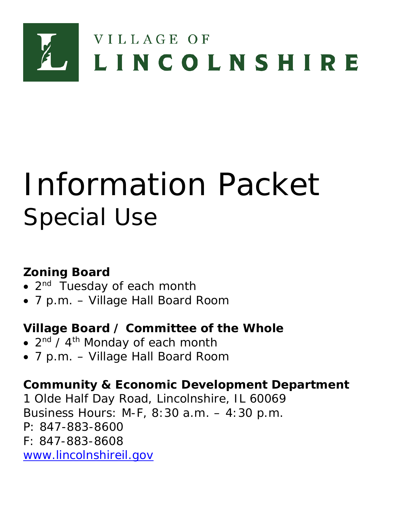

# Information Packet Special Use

## **Zoning Board**

- 2<sup>nd</sup> Tuesday of each month
- 7 p.m. Village Hall Board Room

## **Village Board / Committee of the Whole**

- $2<sup>nd</sup>$  /  $4<sup>th</sup>$  Monday of each month
- 7 p.m. Village Hall Board Room

## **Community & Economic Development Department**

1 Olde Half Day Road, Lincolnshire, IL 60069 Business Hours: M-F, 8:30 a.m. – 4:30 p.m. P: 847-883-8600 F: 847-883-8608 [www.lincolnshireil.gov](http://www.lincolnshireil.gov/)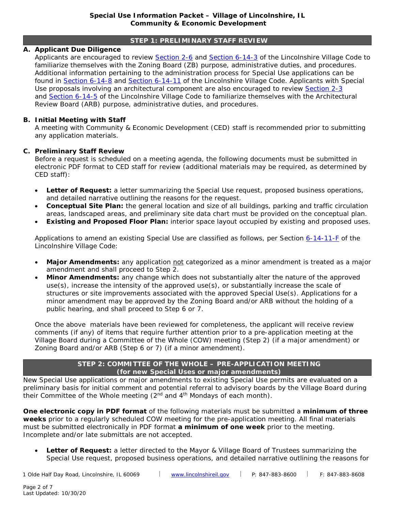#### **STEP 1: PRELIMINARY STAFF REVIEW**

#### **A. Applicant Due Diligence**

Applicants are encouraged to review [Section 2-6](https://www.lincolnshireil.gov/sitemedia/documents/quick_links/village-code/title-2/code0206.pdf) and [Section 6-14-3](https://www.lincolnshireil.gov/sitemedia/documents/quick_links/village-code/title-6/code0614.pdf) of the Lincolnshire Village Code to familiarize themselves with the Zoning Board (ZB) purpose, administrative duties, and procedures. Additional information pertaining to the administration process for Special Use applications can be found in **Section 6-14-8** and **Section 6-14-11** of the Lincolnshire Village Code. Applicants with Special Use proposals involving an architectural component are also encouraged to review [Section 2-3](https://www.lincolnshireil.gov/sitemedia/documents/quick_links/village-code/title-2/code0203.pdf) and [Section 6-14-5](https://www.lincolnshireil.gov/sitemedia/documents/quick_links/village-code/title-6/code0614.pdf) of the Lincolnshire Village Code to familiarize themselves with the Architectural Review Board (ARB) purpose, administrative duties, and procedures.

#### **B. Initial Meeting with Staff**

A meeting with Community & Economic Development (CED) staff is recommended prior to submitting any application materials.

#### **C. Preliminary Staff Review**

Before a request is scheduled on a meeting agenda, the following documents must be submitted in electronic PDF format to CED staff for review (additional materials may be required, as determined by CED staff):

- *Letter of Request:* a letter summarizing the Special Use request, proposed business operations, and detailed narrative outlining the reasons for the request.
- *Conceptual Site Plan:* the general location and size of all buildings, parking and traffic circulation areas, landscaped areas, and preliminary site data chart must be provided on the conceptual plan.
- *Existing and Proposed Floor Plan:* interior space layout occupied by existing and proposed uses.

Applications to amend an existing Special Use are classified as follows, per Section [6-14-11-F](https://www.lincolnshireil.gov/sitemedia/documents/quick_links/village-code/title-6/code0614.pdf) of the Lincolnshire Village Code:

- Major Amendments: any application not categorized as a minor amendment is treated as a major amendment and shall proceed to Step 2.
- *Minor Amendments:* any change which does not substantially alter the nature of the approved use(s), increase the intensity of the approved use(s), or substantially increase the scale of structures or site improvements associated with the approved Special Use(s). Applications for a minor amendment may be approved by the Zoning Board and/or ARB without the holding of a public hearing, and shall proceed to Step 6 or 7.

Once the above materials have been reviewed for completeness, the applicant will receive review comments (if any) of items that require further attention prior to a pre-application meeting at the Village Board during a Committee of the Whole (COW) meeting (Step 2) (if a major amendment) or Zoning Board and/or ARB (Step 6 or 7) (if a minor amendment).

#### **STEP 2: COMMITTEE OF THE WHOLE – PRE-APPLICATION MEETING (for new Special Uses or major amendments)**

New Special Use applications or major amendments to existing Special Use permits are evaluated on a preliminary basis for initial comment and potential referral to advisory boards by the Village Board during their Committee of the Whole meeting  $(2^{nd}$  and  $4^{th}$  Mondays of each month).

**One electronic copy in PDF format** of the following materials must be submitted a **minimum of three weeks** prior to a regularly scheduled COW meeting for the pre-application meeting. All final materials must be submitted electronically in PDF format **a minimum of one week** prior to the meeting. Incomplete and/or late submittals are not accepted.

• *Letter of Request***:** a letter directed to the Mayor & Village Board of Trustees summarizing the Special Use request, proposed business operations, and detailed narrative outlining the reasons for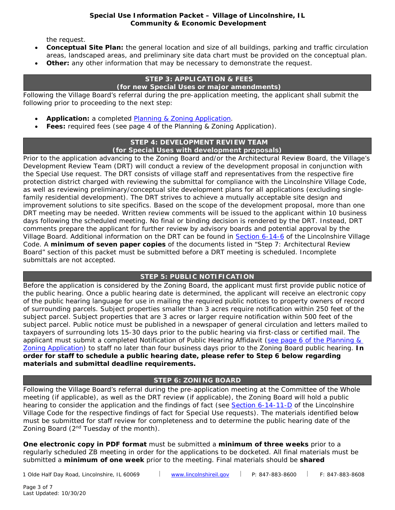the request.

- *Conceptual Site Plan***:** the general location and size of all buildings, parking and traffic circulation areas, landscaped areas, and preliminary site data chart must be provided on the conceptual plan.
- **Other:** any other information that may be necessary to demonstrate the request.

#### **STEP 3: APPLICATION & FEES (for new Special Uses or major amendments)**

Following the Village Board's referral during the pre-application meeting, the applicant shall submit the following prior to proceeding to the next step:

- *Application:* a completed [Planning & Zoning Application.](https://www.lincolnshireil.gov/sitemedia/documents/quick_links/permits-applications-policies/Plan_Zoning_App.pdf)
- **Fees:** required fees (see page 4 of the Planning & Zoning Application).

#### **STEP 4: DEVELOPMENT REVIEW TEAM (for Special Uses with development proposals)**

Prior to the application advancing to the Zoning Board and/or the Architectural Review Board, the Village's Development Review Team (DRT) will conduct a review of the development proposal in conjunction with the Special Use request. The DRT consists of village staff and representatives from the respective fire protection district charged with reviewing the submittal for compliance with the Lincolnshire Village Code, as well as reviewing preliminary/conceptual site development plans for all applications (excluding singlefamily residential development). The DRT strives to achieve a mutually acceptable site design and improvement solutions to site specifics. Based on the scope of the development proposal, more than one DRT meeting may be needed. Written review comments will be issued to the applicant within 10 business days following the scheduled meeting. No final or binding decision is rendered by the DRT. Instead, DRT comments prepare the applicant for further review by advisory boards and potential approval by the Village Board. Additional information on the DRT can be found in [Section 6-14-6](https://www.lincolnshireil.gov/sitemedia/documents/quick_links/village-code/title-6/code0614.pdf) of the Lincolnshire Village Code. A **minimum of seven paper copies** of the documents listed in "Step 7: Architectural Review Board" section of this packet must be submitted before a DRT meeting is scheduled. Incomplete submittals are not accepted.

#### **STEP 5: PUBLIC NOTIFICATION**

Before the application is considered by the Zoning Board, the applicant must first provide public notice of the public hearing. Once a public hearing date is determined, the applicant will receive an electronic copy of the public hearing language for use in mailing the required public notices to property owners of record of surrounding parcels. Subject properties smaller than 3 acres require notification within 250 feet of the subject parcel. Subject properties that are 3 acres or larger require notification within 500 feet of the subject parcel. Public notice must be published in a newspaper of general circulation and letters mailed to taxpayers of surrounding lots 15-30 days prior to the public hearing via first-class or certified mail. The applicant must submit a completed Notification of Public Hearing Affidavit (see page 6 of the Planning & [Zoning Application\)](https://www.lincolnshireil.gov/sitemedia/documents/quick_links/permits-applications-policies/Plan_Zoning_App.pdf) to staff no later than four business days prior to the Zoning Board public hearing. **In order for staff to schedule a public hearing date, please refer to Step 6 below regarding materials and submittal deadline requirements.**

#### **STEP 6: ZONING BOARD**

Following the Village Board's referral during the pre-application meeting at the Committee of the Whole meeting (if applicable), as well as the DRT review (if applicable), the Zoning Board will hold a public hearing to consider the application and the findings of fact (see [Section 6-14-11-D](https://www.lincolnshireil.gov/sitemedia/documents/quick_links/village-code/title-6/code0614.pdf) of the Lincolnshire Village Code for the respective findings of fact for Special Use requests). The materials identified below must be submitted for staff review for completeness and to determine the public hearing date of the Zoning Board (2<sup>nd</sup> Tuesday of the month).

**One electronic copy in PDF format** must be submitted a **minimum of three weeks** prior to a regularly scheduled ZB meeting in order for the applications to be docketed. All final materials must be submitted a **minimum of one week** prior to the meeting. Final materials should be **shared** 

1 Olde Half Day Road, Lincolnshire, IL 60069 [www.lincolnshireil.gov](http://www.lincolnshireil.gov/) P: 847-883-8600 F: 847-883-8608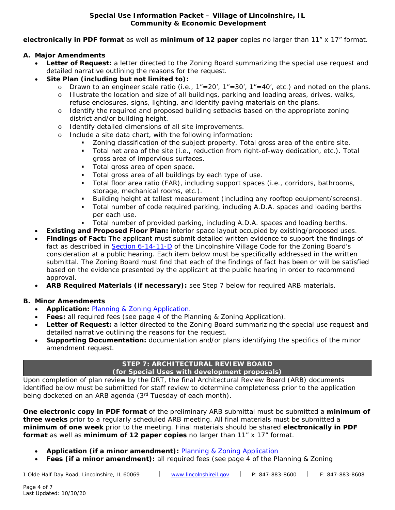**electronically in PDF format** as well as **minimum of 12 paper** copies no larger than 11" x 17" format.

#### **A. Major Amendments**

- **Letter of Request:** a letter directed to the Zoning Board summarizing the special use request and detailed narrative outlining the reasons for the request.
- *Site Plan (including but not limited to):*
	- o Drawn to an engineer scale ratio (i.e.,  $1''=20'$ ,  $1''=30'$ ,  $1''=40'$ , etc.) and noted on the plans.
	- o Illustrate the location and size of all buildings, parking and loading areas, drives, walks, refuse enclosures, signs, lighting, and identify paving materials on the plans.
	- o Identify the required and proposed building setbacks based on the appropriate zoning district and/or building height.
	- o Identify detailed dimensions of all site improvements.
	- o Include a site data chart, with the following information:
		- Zoning classification of the subject property. Total gross area of the entire site.
		- Total net area of the site (i.e., reduction from right-of-way dedication, etc.). Total gross area of impervious surfaces.
		- **Total gross area of open space.**
		- **Total gross area of all buildings by each type of use.**
		- Total floor area ratio (FAR), including support spaces (i.e., corridors, bathrooms, storage, mechanical rooms, etc.).
		- Building height at tallest measurement (including any rooftop equipment/screens).
		- Total number of code required parking, including A.D.A. spaces and loading berths per each use.
		- Total number of provided parking, including A.D.A. spaces and loading berths.
- **Existing and Proposed Floor Plan:** interior space layout occupied by existing/proposed uses.
- *Findings of Fact:* The applicant must submit detailed written evidence to support the findings of fact as described in [Section 6-14-11-D](https://www.lincolnshireil.gov/sitemedia/documents/quick_links/village-code/title-6/code0614.pdf) of the Lincolnshire Village Code for the Zoning Board's consideration at a public hearing. Each item below must be specifically addressed in the written submittal. The Zoning Board must find that each of the findings of fact has been or will be satisfied based on the evidence presented by the applicant at the public hearing in order to recommend approval.
- *ARB Required Materials (if necessary):* see Step 7 below for required ARB materials.

#### **B. Minor Amendments**

- *Application:* [Planning & Zoning Application.](https://www.lincolnshireil.gov/sitemedia/documents/quick_links/permits-applications-policies/Plan_Zoning_App.pdf)
- **Fees:** all required fees (see page 4 of the Planning & Zoning Application).
- **Letter of Request:** a letter directed to the Zoning Board summarizing the special use request and detailed narrative outlining the reasons for the request.
- *Supporting Documentation:* documentation and/or plans identifying the specifics of the minor amendment request.

### **STEP 7: ARCHITECTURAL REVIEW BOARD**

#### **(for Special Uses with development proposals)**

Upon completion of plan review by the DRT, the final Architectural Review Board (ARB) documents identified below must be submitted for staff review to determine completeness prior to the application being docketed on an ARB agenda (3<sup>rd</sup> Tuesday of each month).

**One electronic copy in PDF format** of the preliminary ARB submittal must be submitted a **minimum of three weeks** prior to a regularly scheduled ARB meeting. All final materials must be submitted a **minimum of one week** prior to the meeting. Final materials should be shared **electronically in PDF format** as well as **minimum of 12 paper copies** no larger than 11" x 17" format.

- *Application (if a minor amendment):* [Planning & Zoning Application](https://www.lincolnshireil.gov/sitemedia/documents/quick_links/permits-applications-policies/Plan_Zoning_App.pdf)
- *Fees (if a minor amendment):* all required fees (see page 4 of the Planning & Zoning

1 Olde Half Day Road, Lincolnshire, IL 60069  $\qquad$  [www.lincolnshireil.gov](http://www.lincolnshireil.gov/) | P: 847-883-8600 | F: 847-883-8608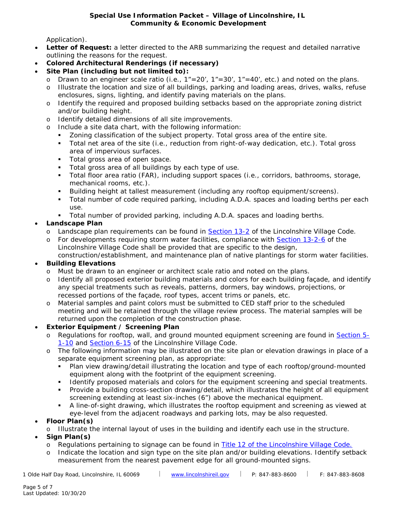Application).

- **Letter of Request:** a letter directed to the ARB summarizing the request and detailed narrative outlining the reasons for the request.
- *Colored Architectural Renderings (if necessary)*
- *Site Plan (including but not limited to):*
	- Drawn to an engineer scale ratio (i.e.,  $1"=20'$ ,  $1"=30'$ ,  $1"=40'$ , etc.) and noted on the plans.
	- o Illustrate the location and size of all buildings, parking and loading areas, drives, walks, refuse enclosures, signs, lighting, and identify paving materials on the plans.
	- o Identify the required and proposed building setbacks based on the appropriate zoning district and/or building height.
	- o Identify detailed dimensions of all site improvements.
	- Include a site data chart, with the following information:
		- Zoning classification of the subject property. Total gross area of the entire site.
		- Total net area of the site (i.e., reduction from right-of-way dedication, etc.). Total gross area of impervious surfaces.
		- **Total gross area of open space.**
		- Total gross area of all buildings by each type of use.
		- Total floor area ratio (FAR), including support spaces (i.e., corridors, bathrooms, storage, mechanical rooms, etc.).
		- Building height at tallest measurement (including any rooftop equipment/screens).
		- Total number of code required parking, including A.D.A. spaces and loading berths per each use.
		- Total number of provided parking, including A.D.A. spaces and loading berths.

#### • *Landscape Plan*

- o Landscape plan requirements can be found in [Section 13-2](https://www.lincolnshireil.gov/sitemedia/documents/quick_links/village-code/title-13/code1302.pdf) of the Lincolnshire Village Code.
- o For developments requiring storm water facilities, compliance with [Section 13-2-6](http://lincolnshireil.gov/sitemedia/documents/quick_links/village-code/title-13/code1302.pdf) of the Lincolnshire Village Code shall be provided that are specific to the design, construction/establishment, and maintenance plan of native plantings for storm water facilities.

#### • *Building Elevations*

- o Must be drawn to an engineer or architect scale ratio and noted on the plans.
- o Identify all proposed exterior building materials and colors for each building façade, and identify any special treatments such as reveals, patterns, dormers, bay windows, projections, or recessed portions of the façade, roof types, accent trims or panels, etc.
- o Material samples and paint colors must be submitted to CED staff prior to the scheduled meeting and will be retained through the village review process. The material samples will be returned upon the completion of the construction phase.

#### • *Exterior Equipment / Screening Plan*

- o Regulations for rooftop, wall, and ground mounted equipment screening are found in [Section 5-](http://lincolnshireil.gov/sitemedia/documents/quick_links/village-code/title-5/code0501.pdf) [1-10](http://lincolnshireil.gov/sitemedia/documents/quick_links/village-code/title-5/code0501.pdf) and [Section 6-15](https://www.lincolnshireil.gov/sitemedia/documents/quick_links/village-code/title-6/code0615.pdf) of the Lincolnshire Village Code.
- o The following information may be illustrated on the site plan or elevation drawings in place of a separate equipment screening plan, as appropriate:
	- Plan view drawing/detail illustrating the location and type of each rooftop/ground-mounted equipment along with the footprint of the equipment screening.
	- Identify proposed materials and colors for the equipment screening and special treatments.
	- Provide a building cross-section drawing/detail, which illustrates the height of all equipment screening extending at least six-inches (6") above the mechanical equipment.
	- A line-of-sight drawing, which illustrates the rooftop equipment and screening as viewed at eye-level from the adjacent roadways and parking lots, may be also requested.

#### • *Floor Plan(s)*

- o Illustrate the internal layout of uses in the building and identify each use in the structure.
- *Sign Plan(s)*
	- o Regulations pertaining to signage can be found in [Title 12 of the Lincolnshire Village Code.](http://lincolnshireil.gov/village-code)
	- o Indicate the location and sign type on the site plan and/or building elevations. Identify setback measurement from the nearest pavement edge for all ground-mounted signs.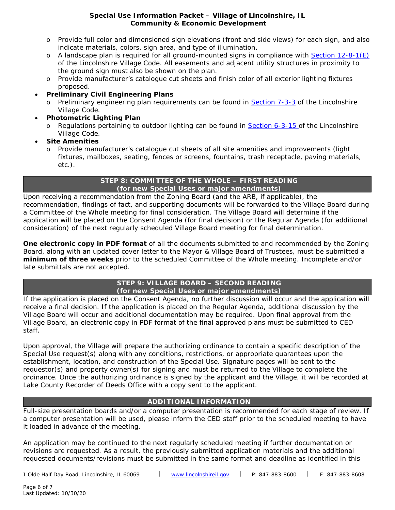- o Provide full color and dimensioned sign elevations (front and side views) for each sign, and also indicate materials, colors, sign area, and type of illumination.
- $\circ$  A landscape plan is required for all ground-mounted signs in compliance with [Section 12-8-1\(E\)](http://lincolnshireil.gov/sitemedia/documents/quick_links/village-code/title-12/code1208.pdf) of the Lincolnshire Village Code. All easements and adjacent utility structures in proximity to the ground sign must also be shown on the plan.
- o Provide manufacturer's catalogue cut sheets and finish color of all exterior lighting fixtures proposed.
- *Preliminary Civil Engineering Plans*
	- o Preliminary engineering plan requirements can be found in [Section 7-3-3](http://lincolnshireil.gov/sitemedia/documents/quick_links/village-code/title-7/code0703.pdf) of the Lincolnshire Village Code.
- *Photometric Lighting Plan*
	- o Regulations pertaining to outdoor lighting can be found in [Section 6-3-15 o](http://lincolnshireil.gov/sitemedia/documents/quick_links/village-code/title-6/code0603.pdf)f the Lincolnshire Village Code.
- *Site Amenities*
	- o Provide manufacturer's catalogue cut sheets of all site amenities and improvements (light fixtures, mailboxes, seating, fences or screens, fountains, trash receptacle, paving materials, etc.).

#### **STEP 8: COMMITTEE OF THE WHOLE – FIRST READING (for new Special Uses or major amendments)**

Upon receiving a recommendation from the Zoning Board (and the ARB, if applicable), the recommendation, findings of fact, and supporting documents will be forwarded to the Village Board during a Committee of the Whole meeting for final consideration. The Village Board will determine if the application will be placed on the Consent Agenda (for final decision) or the Regular Agenda (for additional consideration) of the next regularly scheduled Village Board meeting for final determination.

**One electronic copy in PDF format** of all the documents submitted to and recommended by the Zoning Board, along with an updated cover letter to the Mayor & Village Board of Trustees, must be submitted a **minimum of three weeks** prior to the scheduled Committee of the Whole meeting. Incomplete and/or late submittals are not accepted.

#### **STEP 9: VILLAGE BOARD – SECOND READING (for new Special Uses or major amendments)**

If the application is placed on the Consent Agenda, no further discussion will occur and the application will receive a final decision. If the application is placed on the Regular Agenda, additional discussion by the Village Board will occur and additional documentation may be required. Upon final approval from the Village Board, an electronic copy in PDF format of the final approved plans must be submitted to CED staff.

Upon approval, the Village will prepare the authorizing ordinance to contain a specific description of the Special Use request(s) along with any conditions, restrictions, or appropriate guarantees upon the establishment, location, and construction of the Special Use. Signature pages will be sent to the requestor(s) and property owner(s) for signing and must be returned to the Village to complete the ordinance. Once the authorizing ordinance is signed by the applicant and the Village, it will be recorded at Lake County Recorder of Deeds Office with a copy sent to the applicant.

#### **ADDITIONAL INFORMATION**

Full-size presentation boards and/or a computer presentation is recommended for each stage of review. If a computer presentation will be used, please inform the CED staff prior to the scheduled meeting to have it loaded in advance of the meeting.

An application may be continued to the next regularly scheduled meeting if further documentation or revisions are requested. As a result, the previously submitted application materials and the additional requested documents/revisions must be submitted in the same format and deadline as identified in this

1 Olde Half Day Road, Lincolnshire, IL 60069 | [www.lincolnshireil.gov](http://www.lincolnshireil.gov/) | P: 847-883-8600 | F: 847-883-8608